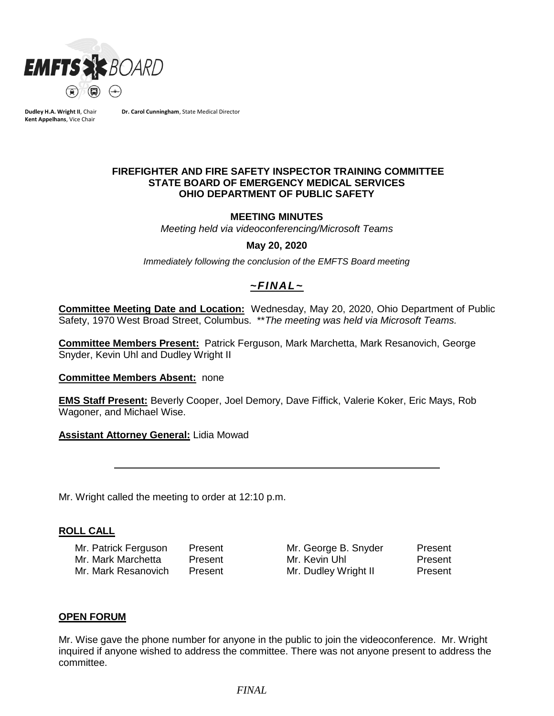

**Dudley H.A. Wright II**, Chair **Kent Appelhans**, Vice Chair

**Dr. Carol Cunningham**, State Medical Director

### **FIREFIGHTER AND FIRE SAFETY INSPECTOR TRAINING COMMITTEE STATE BOARD OF EMERGENCY MEDICAL SERVICES OHIO DEPARTMENT OF PUBLIC SAFETY**

#### **MEETING MINUTES**

*Meeting held via videoconferencing/Microsoft Teams*

#### **May 20, 2020**

*Immediately following the conclusion of the EMFTS Board meeting*

# *~FINAL~*

**Committee Meeting Date and Location:** Wednesday, May 20, 2020, Ohio Department of Public Safety, 1970 West Broad Street, Columbus. \*\**The meeting was held via Microsoft Teams.*

**Committee Members Present:** Patrick Ferguson, Mark Marchetta, Mark Resanovich, George Snyder, Kevin Uhl and Dudley Wright II

#### **Committee Members Absent:** none

**EMS Staff Present:** Beverly Cooper, Joel Demory, Dave Fiffick, Valerie Koker, Eric Mays, Rob Wagoner, and Michael Wise.

#### **Assistant Attorney General:** Lidia Mowad

Mr. Wright called the meeting to order at 12:10 p.m.

#### **ROLL CALL**

Mr. Patrick Ferguson Present Mr. George B. Snyder Present Mr. Mark Marchetta Present Mr. Kevin Uhl Present Mr. Mark Resanovich Present Mr. Dudley Wright II Present

### **OPEN FORUM**

Mr. Wise gave the phone number for anyone in the public to join the videoconference. Mr. Wright inquired if anyone wished to address the committee. There was not anyone present to address the committee.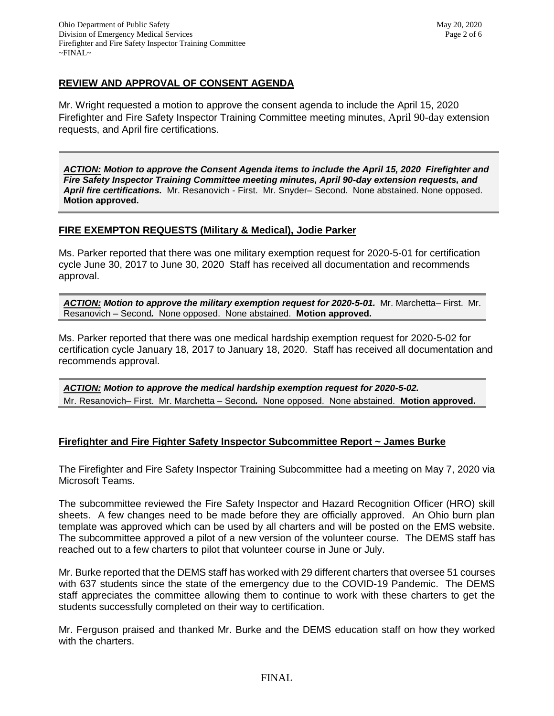# **REVIEW AND APPROVAL OF CONSENT AGENDA**

Mr. Wright requested a motion to approve the consent agenda to include the April 15, 2020 Firefighter and Fire Safety Inspector Training Committee meeting minutes, April 90-day extension requests, and April fire certifications.

*ACTION: Motion to approve the Consent Agenda items to include the April 15, 2020 Firefighter and Fire Safety Inspector Training Committee meeting minutes, April 90-day extension requests, and April fire certifications.* Mr. Resanovich - First. Mr. Snyder– Second. None abstained. None opposed. **Motion approved.**

## **FIRE EXEMPTON REQUESTS (Military & Medical), Jodie Parker**

Ms. Parker reported that there was one military exemption request for 2020-5-01 for certification cycle June 30, 2017 to June 30, 2020 Staff has received all documentation and recommends approval.

*ACTION: Motion to approve the military exemption request for 2020-5-01.* Mr. Marchetta– First. Mr. Resanovich – Second*.* None opposed. None abstained. **Motion approved.**

Ms. Parker reported that there was one medical hardship exemption request for 2020-5-02 for certification cycle January 18, 2017 to January 18, 2020. Staff has received all documentation and recommends approval.

*ACTION: Motion to approve the medical hardship exemption request for 2020-5-02.*  Mr. Resanovich– First. Mr. Marchetta – Second*.* None opposed. None abstained. **Motion approved.**

#### **Firefighter and Fire Fighter Safety Inspector Subcommittee Report ~ James Burke**

The Firefighter and Fire Safety Inspector Training Subcommittee had a meeting on May 7, 2020 via Microsoft Teams.

The subcommittee reviewed the Fire Safety Inspector and Hazard Recognition Officer (HRO) skill sheets. A few changes need to be made before they are officially approved. An Ohio burn plan template was approved which can be used by all charters and will be posted on the EMS website. The subcommittee approved a pilot of a new version of the volunteer course. The DEMS staff has reached out to a few charters to pilot that volunteer course in June or July.

Mr. Burke reported that the DEMS staff has worked with 29 different charters that oversee 51 courses with 637 students since the state of the emergency due to the COVID-19 Pandemic. The DEMS staff appreciates the committee allowing them to continue to work with these charters to get the students successfully completed on their way to certification.

Mr. Ferguson praised and thanked Mr. Burke and the DEMS education staff on how they worked with the charters.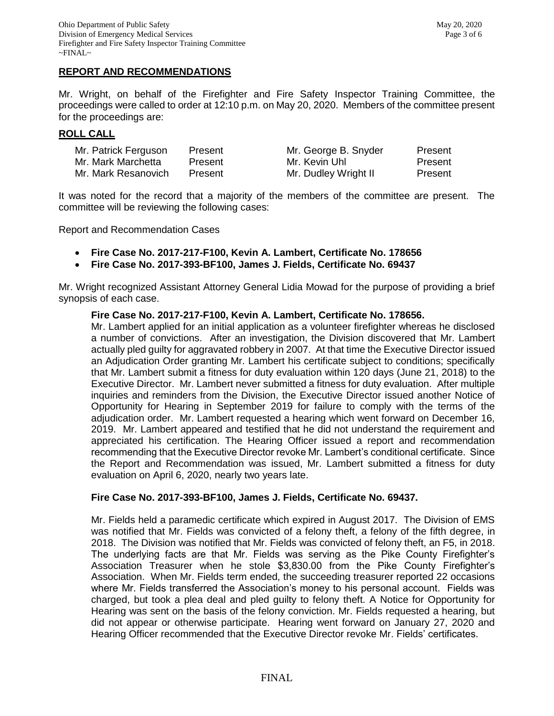### **REPORT AND RECOMMENDATIONS**

Mr. Wright, on behalf of the Firefighter and Fire Safety Inspector Training Committee, the proceedings were called to order at 12:10 p.m. on May 20, 2020. Members of the committee present for the proceedings are:

### **ROLL CALL**

| Mr. Patrick Ferguson | Present | Mr. George B. Snyder | Present |
|----------------------|---------|----------------------|---------|
| Mr. Mark Marchetta   | Present | Mr. Kevin Uhl        | Present |
| Mr. Mark Resanovich  | Present | Mr. Dudley Wright II | Present |

It was noted for the record that a majority of the members of the committee are present. The committee will be reviewing the following cases:

Report and Recommendation Cases

- **Fire Case No. 2017-217-F100, Kevin A. Lambert, Certificate No. 178656**
- **Fire Case No. 2017-393-BF100, James J. Fields, Certificate No. 69437**

Mr. Wright recognized Assistant Attorney General Lidia Mowad for the purpose of providing a brief synopsis of each case.

#### **Fire Case No. 2017-217-F100, Kevin A. Lambert, Certificate No. 178656.**

Mr. Lambert applied for an initial application as a volunteer firefighter whereas he disclosed a number of convictions. After an investigation, the Division discovered that Mr. Lambert actually pled guilty for aggravated robbery in 2007. At that time the Executive Director issued an Adjudication Order granting Mr. Lambert his certificate subject to conditions; specifically that Mr. Lambert submit a fitness for duty evaluation within 120 days (June 21, 2018) to the Executive Director. Mr. Lambert never submitted a fitness for duty evaluation. After multiple inquiries and reminders from the Division, the Executive Director issued another Notice of Opportunity for Hearing in September 2019 for failure to comply with the terms of the adjudication order. Mr. Lambert requested a hearing which went forward on December 16, 2019. Mr. Lambert appeared and testified that he did not understand the requirement and appreciated his certification. The Hearing Officer issued a report and recommendation recommending that the Executive Director revoke Mr. Lambert's conditional certificate. Since the Report and Recommendation was issued, Mr. Lambert submitted a fitness for duty evaluation on April 6, 2020, nearly two years late.

#### **Fire Case No. 2017-393-BF100, James J. Fields, Certificate No. 69437.**

Mr. Fields held a paramedic certificate which expired in August 2017. The Division of EMS was notified that Mr. Fields was convicted of a felony theft, a felony of the fifth degree, in 2018. The Division was notified that Mr. Fields was convicted of felony theft, an F5, in 2018. The underlying facts are that Mr. Fields was serving as the Pike County Firefighter's Association Treasurer when he stole \$3,830.00 from the Pike County Firefighter's Association. When Mr. Fields term ended, the succeeding treasurer reported 22 occasions where Mr. Fields transferred the Association's money to his personal account. Fields was charged, but took a plea deal and pled guilty to felony theft. A Notice for Opportunity for Hearing was sent on the basis of the felony conviction. Mr. Fields requested a hearing, but did not appear or otherwise participate. Hearing went forward on January 27, 2020 and Hearing Officer recommended that the Executive Director revoke Mr. Fields' certificates.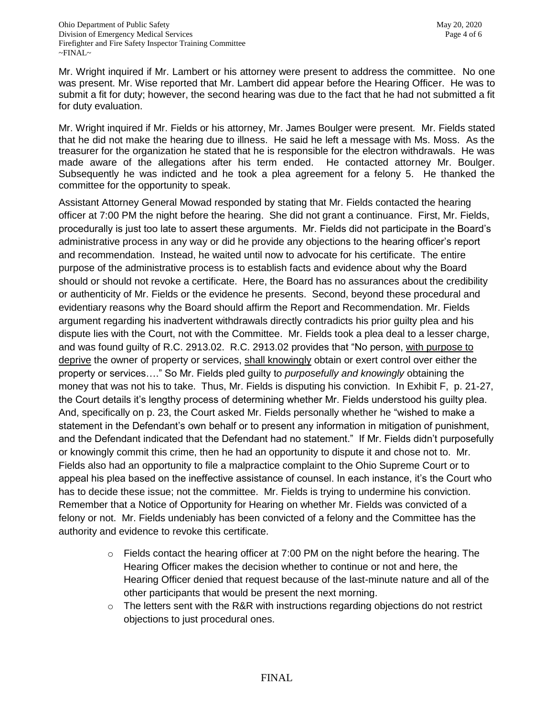Mr. Wright inquired if Mr. Lambert or his attorney were present to address the committee. No one was present. Mr. Wise reported that Mr. Lambert did appear before the Hearing Officer. He was to submit a fit for duty; however, the second hearing was due to the fact that he had not submitted a fit for duty evaluation.

Mr. Wright inquired if Mr. Fields or his attorney, Mr. James Boulger were present. Mr. Fields stated that he did not make the hearing due to illness. He said he left a message with Ms. Moss. As the treasurer for the organization he stated that he is responsible for the electron withdrawals. He was made aware of the allegations after his term ended. He contacted attorney Mr. Boulger. Subsequently he was indicted and he took a plea agreement for a felony 5. He thanked the committee for the opportunity to speak.

Assistant Attorney General Mowad responded by stating that Mr. Fields contacted the hearing officer at 7:00 PM the night before the hearing. She did not grant a continuance. First, Mr. Fields, procedurally is just too late to assert these arguments. Mr. Fields did not participate in the Board's administrative process in any way or did he provide any objections to the hearing officer's report and recommendation. Instead, he waited until now to advocate for his certificate. The entire purpose of the administrative process is to establish facts and evidence about why the Board should or should not revoke a certificate. Here, the Board has no assurances about the credibility or authenticity of Mr. Fields or the evidence he presents. Second, beyond these procedural and evidentiary reasons why the Board should affirm the Report and Recommendation. Mr. Fields argument regarding his inadvertent withdrawals directly contradicts his prior guilty plea and his dispute lies with the Court, not with the Committee. Mr. Fields took a plea deal to a lesser charge, and was found guilty of R.C. 2913.02. R.C. 2913.02 provides that "No person, with purpose to deprive the owner of property or services, shall knowingly obtain or exert control over either the property or services…." So Mr. Fields pled guilty to *purposefully and knowingly* obtaining the money that was not his to take. Thus, Mr. Fields is disputing his conviction. In Exhibit F, p. 21-27, the Court details it's lengthy process of determining whether Mr. Fields understood his guilty plea. And, specifically on p. 23, the Court asked Mr. Fields personally whether he "wished to make a statement in the Defendant's own behalf or to present any information in mitigation of punishment, and the Defendant indicated that the Defendant had no statement." If Mr. Fields didn't purposefully or knowingly commit this crime, then he had an opportunity to dispute it and chose not to. Mr. Fields also had an opportunity to file a malpractice complaint to the Ohio Supreme Court or to appeal his plea based on the ineffective assistance of counsel. In each instance, it's the Court who has to decide these issue; not the committee. Mr. Fields is trying to undermine his conviction. Remember that a Notice of Opportunity for Hearing on whether Mr. Fields was convicted of a felony or not. Mr. Fields undeniably has been convicted of a felony and the Committee has the authority and evidence to revoke this certificate.

- $\circ$  Fields contact the hearing officer at 7:00 PM on the night before the hearing. The Hearing Officer makes the decision whether to continue or not and here, the Hearing Officer denied that request because of the last-minute nature and all of the other participants that would be present the next morning.
- $\circ$  The letters sent with the R&R with instructions regarding objections do not restrict objections to just procedural ones.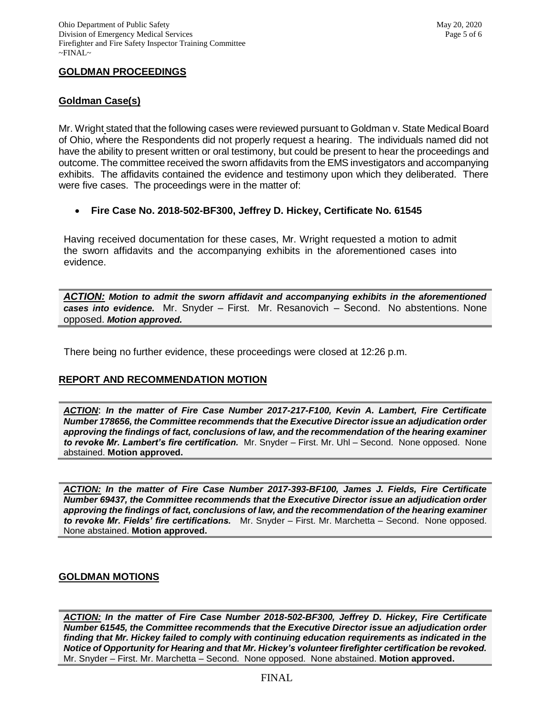# **GOLDMAN PROCEEDINGS**

# **Goldman Case(s)**

Mr. Wright stated that the following cases were reviewed pursuant to Goldman v. State Medical Board of Ohio, where the Respondents did not properly request a hearing. The individuals named did not have the ability to present written or oral testimony, but could be present to hear the proceedings and outcome. The committee received the sworn affidavits from the EMS investigators and accompanying exhibits. The affidavits contained the evidence and testimony upon which they deliberated. There were five cases. The proceedings were in the matter of:

## **Fire Case No. 2018-502-BF300, Jeffrey D. Hickey, Certificate No. 61545**

Having received documentation for these cases, Mr. Wright requested a motion to admit the sworn affidavits and the accompanying exhibits in the aforementioned cases into evidence.

*ACTION: Motion to admit the sworn affidavit and accompanying exhibits in the aforementioned cases into evidence.* Mr. Snyder – First. Mr. Resanovich – Second. No abstentions. None opposed. *Motion approved.* 

There being no further evidence, these proceedings were closed at 12:26 p.m.

# **REPORT AND RECOMMENDATION MOTION**

*ACTION*: *In the matter of Fire Case Number 2017-217-F100, Kevin A. Lambert, Fire Certificate Number 178656, the Committee recommends that the Executive Director issue an adjudication order approving the findings of fact, conclusions of law, and the recommendation of the hearing examiner to revoke Mr. Lambert's fire certification.* Mr. Snyder – First. Mr. Uhl – Second. None opposed. None abstained. **Motion approved.** 

*ACTION: In the matter of Fire Case Number 2017-393-BF100, James J. Fields, Fire Certificate Number 69437, the Committee recommends that the Executive Director issue an adjudication order approving the findings of fact, conclusions of law, and the recommendation of the hearing examiner to revoke Mr. Fields' fire certifications.* Mr. Snyder – First. Mr. Marchetta – Second. None opposed. None abstained. **Motion approved.** 

## **GOLDMAN MOTIONS**

*ACTION: In the matter of Fire Case Number 2018-502-BF300, Jeffrey D. Hickey, Fire Certificate Number 61545, the Committee recommends that the Executive Director issue an adjudication order finding that Mr. Hickey failed to comply with continuing education requirements as indicated in the Notice of Opportunity for Hearing and that Mr. Hickey's volunteer firefighter certification be revoked.* Mr. Snyder – First. Mr. Marchetta – Second. None opposed. None abstained. **Motion approved.**